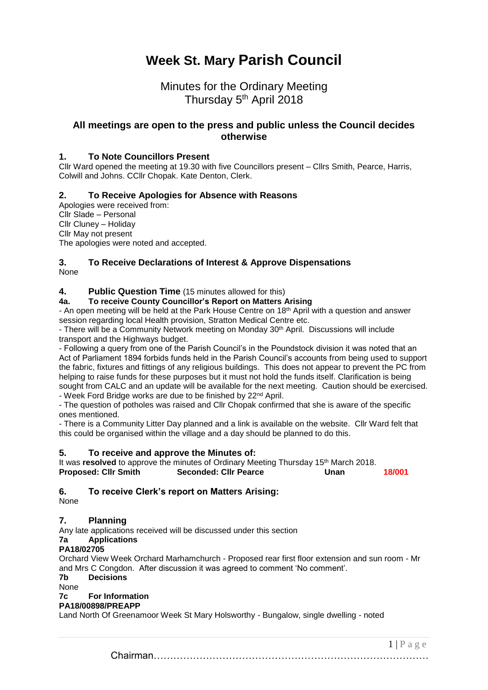# **Week St. Mary Parish Council**

## Minutes for the Ordinary Meeting Thursday 5<sup>th</sup> April 2018

### **All meetings are open to the press and public unless the Council decides otherwise**

### **1. To Note Councillors Present**

Cllr Ward opened the meeting at 19.30 with five Councillors present – Cllrs Smith, Pearce, Harris, Colwill and Johns. CCllr Chopak. Kate Denton, Clerk.

### **2. To Receive Apologies for Absence with Reasons**

Apologies were received from: Cllr Slade – Personal Cllr Cluney – Holiday Cllr May not present The apologies were noted and accepted.

#### **3. To Receive Declarations of Interest & Approve Dispensations** None

### **4. Public Question Time** (15 minutes allowed for this)

**4a. To receive County Councillor's Report on Matters Arising**

- An open meeting will be held at the Park House Centre on 18<sup>th</sup> April with a question and answer session regarding local Health provision, Stratton Medical Centre etc.

- There will be a Community Network meeting on Monday 30th April. Discussions will include transport and the Highways budget.

- Following a query from one of the Parish Council's in the Poundstock division it was noted that an Act of Parliament 1894 forbids funds held in the Parish Council's accounts from being used to support the fabric, fixtures and fittings of any religious buildings. This does not appear to prevent the PC from helping to raise funds for these purposes but it must not hold the funds itself. Clarification is being sought from CALC and an update will be available for the next meeting. Caution should be exercised.

- Week Ford Bridge works are due to be finished by 22<sup>nd</sup> April.

- The question of potholes was raised and Cllr Chopak confirmed that she is aware of the specific ones mentioned.

- There is a Community Litter Day planned and a link is available on the website. Cllr Ward felt that this could be organised within the village and a day should be planned to do this.

### **5. To receive and approve the Minutes of:**

It was **resolved** to approve the minutes of Ordinary Meeting Thursday 15<sup>th</sup> March 2018.<br>**Proposed: Clir Smith Seconded: Clir Pearce Unan Proposed: Cllr Smith Seconded: Cllr Pearce Unan 18/001**

### **6. To receive Clerk's report on Matters Arising:**

None

### **7. Planning**

Any late applications received will be discussed under this section

### **7a Applications**

### **PA18/02705**

Orchard View Week Orchard Marhamchurch - Proposed rear first floor extension and sun room - Mr and Mrs C Congdon. After discussion it was agreed to comment 'No comment'.

**7b Decisions**

None

### **7c For Information**

#### **PA18/00898/PREAPP**

Land North Of Greenamoor Week St Mary Holsworthy - Bungalow, single dwelling - noted

Chairman…………………………………………………………………………

 $1 | P a \ge e$